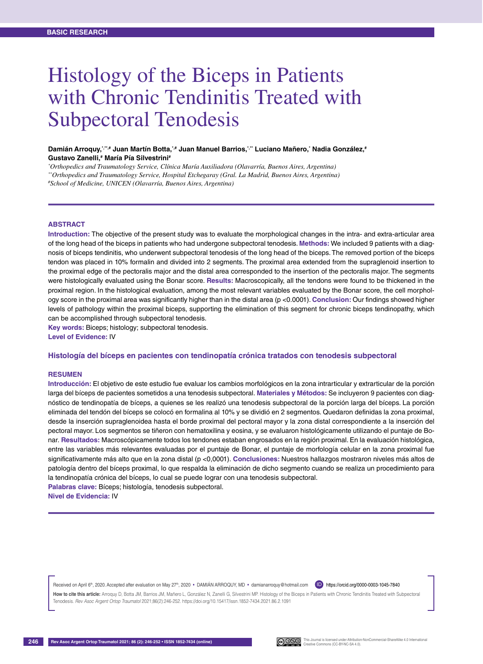# Histology of the Biceps in Patients with Chronic Tendinitis Treated with Subpectoral Tenodesis

Damián Arroquy,\*\*,\* Juan Martín Botta,\*,\* Juan Manuel Barrios,\*\*\* Luciano Mañero,\* Nadia González,\* **Gustavo Zanelli,# María Pía Silvestrini#**

*\* Orthopedics and Traumatology Service, Clínica María Auxiliadora (Olavarría, Buenos Aires, Argentina)*

*\*\*Orthopedics and Traumatology Service, Hospital Etchegaray (Gral. La Madrid, Buenos Aires, Argentina)*

*# School of Medicine, UNICEN (Olavarría, Buenos Aires, Argentina)*

#### **ABSTRACT**

**Introduction:** The objective of the present study was to evaluate the morphological changes in the intra- and extra-articular area of the long head of the biceps in patients who had undergone subpectoral tenodesis. **Methods:** We included 9 patients with a diagnosis of biceps tendinitis, who underwent subpectoral tenodesis of the long head of the biceps. The removed portion of the biceps tendon was placed in 10% formalin and divided into 2 segments. The proximal area extended from the supraglenoid insertion to the proximal edge of the pectoralis major and the distal area corresponded to the insertion of the pectoralis major. The segments were histologically evaluated using the Bonar score. **Results:** Macroscopically, all the tendons were found to be thickened in the proximal region. In the histological evaluation, among the most relevant variables evaluated by the Bonar score, the cell morphology score in the proximal area was significantly higher than in the distal area (p <0.0001). **Conclusion:** Our findings showed higher levels of pathology within the proximal biceps, supporting the elimination of this segment for chronic biceps tendinopathy, which can be accomplished through subpectoral tenodesis.

**Key words:** Biceps; histology; subpectoral tenodesis.

**Level of Evidence:** IV

#### **Histología del bíceps en pacientes con tendinopatía crónica tratados con tenodesis subpectoral**

#### **Resumen**

**Introducción:** El objetivo de este estudio fue evaluar los cambios morfológicos en la zona intrarticular y extrarticular de la porción larga del bíceps de pacientes sometidos a una tenodesis subpectoral. **Materiales y Métodos:** Se incluyeron 9 pacientes con diagnóstico de tendinopatía de bíceps, a quienes se les realizó una tenodesis subpectoral de la porción larga del bíceps. La porción eliminada del tendón del bíceps se colocó en formalina al 10% y se dividió en 2 segmentos. Quedaron definidas la zona proximal, desde la inserción supraglenoidea hasta el borde proximal del pectoral mayor y la zona distal correspondiente a la inserción del pectoral mayor. Los segmentos se tiñeron con hematoxilina y eosina, y se evaluaron histológicamente utilizando el puntaje de Bonar. **Resultados:** Macroscópicamente todos los tendones estaban engrosados en la región proximal. En la evaluación histológica, entre las variables más relevantes evaluadas por el puntaje de Bonar, el puntaje de morfología celular en la zona proximal fue significativamente más alto que en la zona distal (p <0,0001). **Conclusiones:** Nuestros hallazgos mostraron niveles más altos de patología dentro del bíceps proximal, lo que respalda la eliminación de dicho segmento cuando se realiza un procedimiento para la tendinopatía crónica del bíceps, lo cual se puede lograr con una tenodesis subpectoral.

**Palabras clave:** Bíceps; histología, tenodesis subpectoral. **Nivel de Evidencia:** IV

Received on April 6<sup>th</sup>, 2020. Accepted after evaluation on May 27<sup>th</sup>, 2020 • DAMIÁN ARROQUY, MD • damianarroquy@hotmail.com https://orcid.org/0000-0003-1045-7840

How to cite this article: Arroquy D, Botta JM, Barrios JM, Mañero L, González N, Zanelli G, Silvestrini MP. Histology of the Biceps in Patients with Chronic Tendinitis Treated with Subpectoral Tenodesis. *Rev Asoc Argent Ortop Traumatol* 2021;86(2):246-252. https://doi.org/10.15417/issn.1852-7434.2021.86.2.1091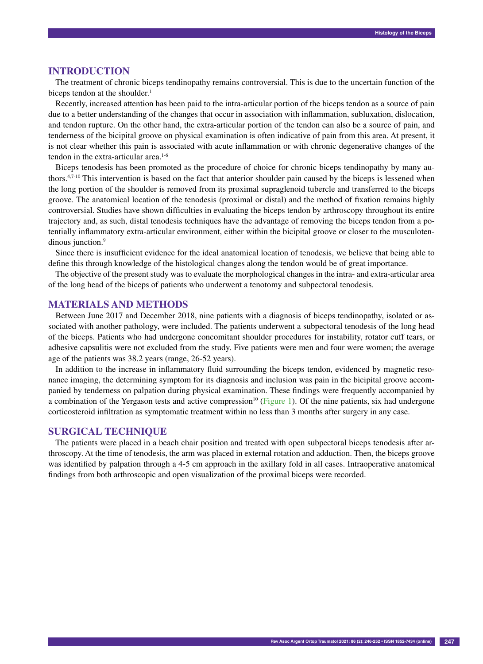#### **Introduction**

The treatment of chronic biceps tendinopathy remains controversial. This is due to the uncertain function of the biceps tendon at the shoulder.<sup>1</sup>

Recently, increased attention has been paid to the intra-articular portion of the biceps tendon as a source of pain due to a better understanding of the changes that occur in association with inflammation, subluxation, dislocation, and tendon rupture. On the other hand, the extra-articular portion of the tendon can also be a source of pain, and tenderness of the bicipital groove on physical examination is often indicative of pain from this area. At present, it is not clear whether this pain is associated with acute inflammation or with chronic degenerative changes of the tendon in the extra-articular area.<sup>1-6</sup>

Biceps tenodesis has been promoted as the procedure of choice for chronic biceps tendinopathy by many authors.4,7-10 This intervention is based on the fact that anterior shoulder pain caused by the biceps is lessened when the long portion of the shoulder is removed from its proximal supraglenoid tubercle and transferred to the biceps groove. The anatomical location of the tenodesis (proximal or distal) and the method of fixation remains highly controversial. Studies have shown difficulties in evaluating the biceps tendon by arthroscopy throughout its entire trajectory and, as such, distal tenodesis techniques have the advantage of removing the biceps tendon from a potentially inflammatory extra-articular environment, either within the bicipital groove or closer to the musculotendinous junction.<sup>9</sup>

Since there is insufficient evidence for the ideal anatomical location of tenodesis, we believe that being able to define this through knowledge of the histological changes along the tendon would be of great importance.

The objective of the present study was to evaluate the morphological changes in the intra- and extra-articular area of the long head of the biceps of patients who underwent a tenotomy and subpectoral tenodesis.

# **Materials and methods**

Between June 2017 and December 2018, nine patients with a diagnosis of biceps tendinopathy, isolated or associated with another pathology, were included. The patients underwent a subpectoral tenodesis of the long head of the biceps. Patients who had undergone concomitant shoulder procedures for instability, rotator cuff tears, or adhesive capsulitis were not excluded from the study. Five patients were men and four were women; the average age of the patients was 38.2 years (range, 26-52 years).

In addition to the increase in inflammatory fluid surrounding the biceps tendon, evidenced by magnetic resonance imaging, the determining symptom for its diagnosis and inclusion was pain in the bicipital groove accompanied by tenderness on palpation during physical examination. These findings were frequently accompanied by a combination of the Yergason tests and active compression<sup>10</sup> (Figure 1). Of the nine patients, six had undergone corticosteroid infiltration as symptomatic treatment within no less than 3 months after surgery in any case.

### **Surgical technique**

The patients were placed in a beach chair position and treated with open subpectoral biceps tenodesis after arthroscopy. At the time of tenodesis, the arm was placed in external rotation and adduction. Then, the biceps groove was identified by palpation through a 4-5 cm approach in the axillary fold in all cases. Intraoperative anatomical findings from both arthroscopic and open visualization of the proximal biceps were recorded.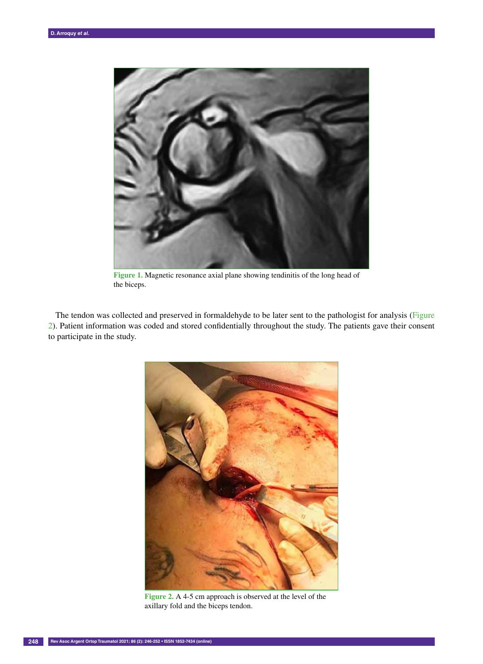

**Figure 1.** Magnetic resonance axial plane showing tendinitis of the long head of the biceps.

The tendon was collected and preserved in formaldehyde to be later sent to the pathologist for analysis (Figure 2). Patient information was coded and stored confidentially throughout the study. The patients gave their consent to participate in the study.



**Figure 2.** A 4-5 cm approach is observed at the level of the axillary fold and the biceps tendon.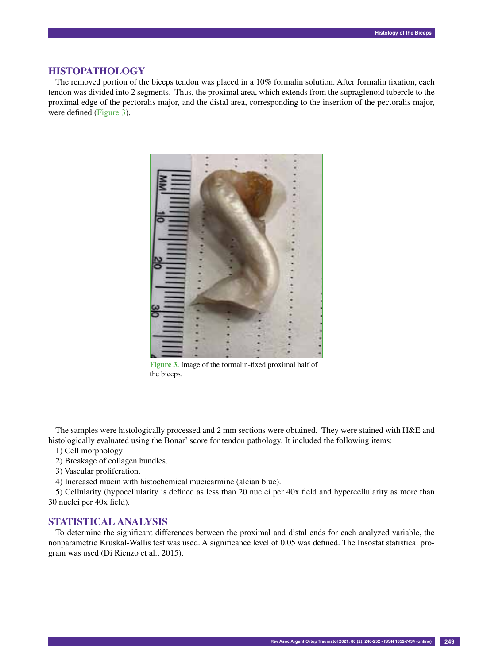### **Histopathology**

The removed portion of the biceps tendon was placed in a 10% formalin solution. After formalin fixation, each tendon was divided into 2 segments. Thus, the proximal area, which extends from the supraglenoid tubercle to the proximal edge of the pectoralis major, and the distal area, corresponding to the insertion of the pectoralis major, were defined (Figure 3).



**Figure 3.** Image of the formalin-fixed proximal half of the biceps.

The samples were histologically processed and 2 mm sections were obtained. They were stained with H&E and histologically evaluated using the Bonar<sup>2</sup> score for tendon pathology. It included the following items:

- 1) Cell morphology
- 2) Breakage of collagen bundles.
- 3) Vascular proliferation.
- 4) Increased mucin with histochemical mucicarmine (alcian blue).

5) Cellularity (hypocellularity is defined as less than 20 nuclei per 40x field and hypercellularity as more than 30 nuclei per 40x field).

#### **Statistical analysis**

To determine the significant differences between the proximal and distal ends for each analyzed variable, the nonparametric Kruskal-Wallis test was used. A significance level of 0.05 was defined. The Insostat statistical program was used (Di Rienzo et al., 2015).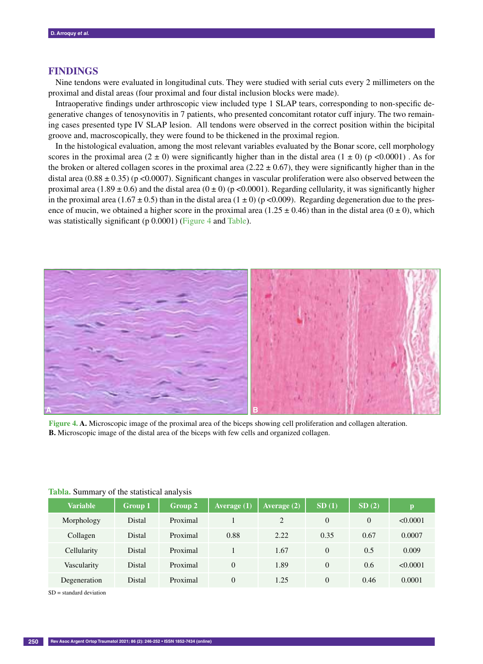# **Findings**

Nine tendons were evaluated in longitudinal cuts. They were studied with serial cuts every 2 millimeters on the proximal and distal areas (four proximal and four distal inclusion blocks were made).

Intraoperative findings under arthroscopic view included type 1 SLAP tears, corresponding to non-specific degenerative changes of tenosynovitis in 7 patients, who presented concomitant rotator cuff injury. The two remaining cases presented type IV SLAP lesion. All tendons were observed in the correct position within the bicipital groove and, macroscopically, they were found to be thickened in the proximal region.

In the histological evaluation, among the most relevant variables evaluated by the Bonar score, cell morphology scores in the proximal area  $(2 \pm 0)$  were significantly higher than in the distal area  $(1 \pm 0)$  (p <0.0001). As for the broken or altered collagen scores in the proximal area (2.22  $\pm$  0.67), they were significantly higher than in the distal area (0.88  $\pm$  0.35) (p <0.0007). Significant changes in vascular proliferation were also observed between the proximal area (1.89  $\pm$  0.6) and the distal area (0  $\pm$  0) (p <0.0001). Regarding cellularity, it was significantly higher in the proximal area (1.67  $\pm$  0.5) than in the distal area (1  $\pm$  0) (p <0.009). Regarding degeneration due to the presence of mucin, we obtained a higher score in the proximal area  $(1.25 \pm 0.46)$  than in the distal area  $(0 \pm 0)$ , which was statistically significant (p 0.0001) (Figure 4 and Table).



**Figure 4. A.** Microscopic image of the proximal area of the biceps showing cell proliferation and collagen alteration. **B.** Microscopic image of the distal area of the biceps with few cells and organized collagen.

| <b>THORN DUMMER</b> , OF the buildered until 1919 |                |          |               |                |       |                |          |
|---------------------------------------------------|----------------|----------|---------------|----------------|-------|----------------|----------|
| <b>Variable</b>                                   | <b>Group 1</b> | Group 2  | Average $(1)$ | Average $(2)$  | SD(1) | SD(2)          | p        |
| Morphology                                        | Distal         | Proximal |               | $\overline{2}$ | 0     | $\overline{0}$ | < 0.0001 |
| Collagen                                          | Distal         | Proximal | 0.88          | 2.22           | 0.35  | 0.67           | 0.0007   |
| Cellularity                                       | Distal         | Proximal |               | 1.67           | 0     | 0.5            | 0.009    |
| Vascularity                                       | Distal         | Proximal | $\Omega$      | 1.89           | 0     | 0.6            | < 0.0001 |
| Degeneration                                      | Distal         | Proximal | $\Omega$      | 1.25           | 0     | 0.46           | 0.0001   |

# **Tabla.** Summary of the statistical analysis

SD = standard deviation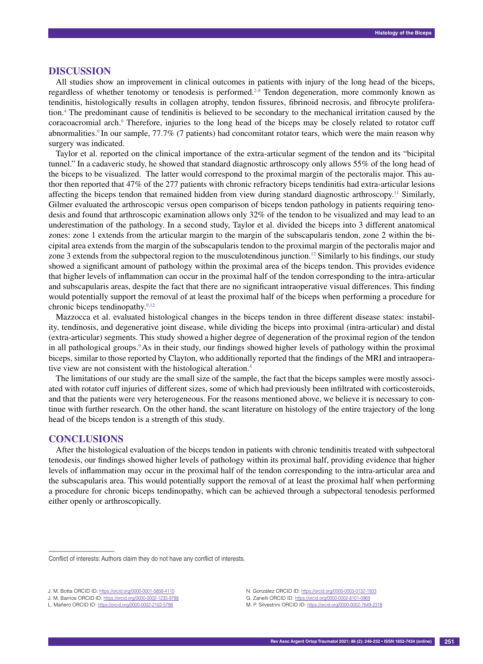#### **Discussion**

All studies show an improvement in clinical outcomes in patients with injury of the long head of the biceps, regardless of whether tenotomy or tenodesis is performed.2-8 Tendon degeneration, more commonly known as tendinitis, histologically results in collagen atrophy, tendon fissures, fibrinoid necrosis, and fibrocyte proliferation.4 The predominant cause of tendinitis is believed to be secondary to the mechanical irritation caused by the coracoacromial arch.9 Therefore, injuries to the long head of the biceps may be closely related to rotator cuff abnormalities.<sup>9</sup> In our sample, 77.7% (7 patients) had concomitant rotator tears, which were the main reason why surgery was indicated.

Taylor et al. reported on the clinical importance of the extra-articular segment of the tendon and its "bicipital tunnel." In a cadaveric study, he showed that standard diagnostic arthroscopy only allows 55% of the long head of the biceps to be visualized. The latter would correspond to the proximal margin of the pectoralis major. This author then reported that 47% of the 277 patients with chronic refractory biceps tendinitis had extra-articular lesions affecting the biceps tendon that remained hidden from view during standard diagnostic arthroscopy.11 Similarly, Gilmer evaluated the arthroscopic versus open comparison of biceps tendon pathology in patients requiring tenodesis and found that arthroscopic examination allows only 32% of the tendon to be visualized and may lead to an underestimation of the pathology. In a second study, Taylor et al. divided the biceps into 3 different anatomical zones: zone 1 extends from the articular margin to the margin of the subscapularis tendon, zone 2 within the bicipital area extends from the margin of the subscapularis tendon to the proximal margin of the pectoralis major and zone 3 extends from the subpectoral region to the musculotendinous junction.<sup>12</sup> Similarly to his findings, our study showed a significant amount of pathology within the proximal area of the biceps tendon. This provides evidence that higher levels of inflammation can occur in the proximal half of the tendon corresponding to the intra-articular and subscapularis areas, despite the fact that there are no significant intraoperative visual differences. This finding would potentially support the removal of at least the proximal half of the biceps when performing a procedure for chronic biceps tendinopathy.<sup>9,12</sup>

Mazzocca et al. evaluated histological changes in the biceps tendon in three different disease states: instability, tendinosis, and degenerative joint disease, while dividing the biceps into proximal (intra-articular) and distal (extra-articular) segments. This study showed a higher degree of degeneration of the proximal region of the tendon in all pathological groups.9 As in their study, our findings showed higher levels of pathology within the proximal biceps, similar to those reported by Clayton, who additionally reported that the findings of the MRI and intraoperative view are not consistent with the histological alteration.4

The limitations of our study are the small size of the sample, the fact that the biceps samples were mostly associated with rotator cuff injuries of different sizes, some of which had previously been infiltrated with corticosteroids, and that the patients were very heterogeneous. For the reasons mentioned above, we believe it is necessary to continue with further research. On the other hand, the scant literature on histology of the entire trajectory of the long head of the biceps tendon is a strength of this study.

#### **Conclusions**

––––––––––––––––––

After the histological evaluation of the biceps tendon in patients with chronic tendinitis treated with subpectoral tenodesis, our findings showed higher levels of pathology within its proximal half, providing evidence that higher levels of inflammation may occur in the proximal half of the tendon corresponding to the intra-articular area and the subscapularis area. This would potentially support the removal of at least the proximal half when performing a procedure for chronic biceps tendinopathy, which can be achieved through a subpectoral tenodesis performed either openly or arthroscopically.

M. P. Silvestrini ORCID ID: https://orcid.org/0000-0002-7649-2318

Conflict of interests: Authors claim they do not have any conflict of interests.

J. M. Botta ORCID ID: https://orcid.org/0000-0001-5858-4115

J. M. Barrios ORCID ID: https://orcid.org/0000-0002-1235-9788

L. Mañero ORCID ID: https://orcid.org/0000-0002-2102-5798

N. González ORCID ID: https://orcid.org/0000-0003-0132-1933 G. Zanelli ORCID ID: https://orcid.org/0000-0002-8101-0969